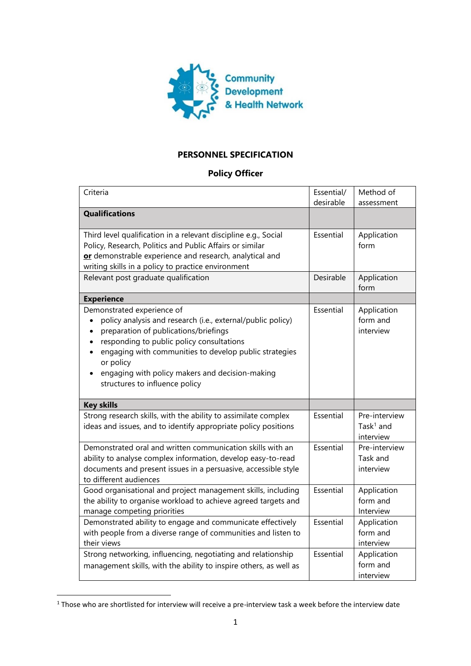

## **PERSONNEL SPECIFICATION**

## **Policy Officer**

| Criteria                                                                                                                                                                                                                                                                                                                                                                                                     | Essential/<br>desirable | Method of<br>assessment                    |
|--------------------------------------------------------------------------------------------------------------------------------------------------------------------------------------------------------------------------------------------------------------------------------------------------------------------------------------------------------------------------------------------------------------|-------------------------|--------------------------------------------|
| <b>Qualifications</b>                                                                                                                                                                                                                                                                                                                                                                                        |                         |                                            |
| Third level qualification in a relevant discipline e.g., Social<br>Policy, Research, Politics and Public Affairs or similar<br>or demonstrable experience and research, analytical and<br>writing skills in a policy to practice environment                                                                                                                                                                 | Essential               | Application<br>form                        |
| Relevant post graduate qualification                                                                                                                                                                                                                                                                                                                                                                         | Desirable               | Application<br>form                        |
| <b>Experience</b>                                                                                                                                                                                                                                                                                                                                                                                            |                         |                                            |
| Demonstrated experience of<br>policy analysis and research (i.e., external/public policy)<br>$\bullet$<br>preparation of publications/briefings<br>$\bullet$<br>responding to public policy consultations<br>$\bullet$<br>engaging with communities to develop public strategies<br>$\bullet$<br>or policy<br>engaging with policy makers and decision-making<br>$\bullet$<br>structures to influence policy | Essential               | Application<br>form and<br>interview       |
| <b>Key skills</b>                                                                                                                                                                                                                                                                                                                                                                                            |                         |                                            |
| Strong research skills, with the ability to assimilate complex<br>ideas and issues, and to identify appropriate policy positions                                                                                                                                                                                                                                                                             | Essential               | Pre-interview<br>Task $1$ and<br>interview |
| Demonstrated oral and written communication skills with an<br>ability to analyse complex information, develop easy-to-read<br>documents and present issues in a persuasive, accessible style<br>to different audiences                                                                                                                                                                                       | Essential               | Pre-interview<br>Task and<br>interview     |
| Good organisational and project management skills, including<br>the ability to organise workload to achieve agreed targets and<br>manage competing priorities                                                                                                                                                                                                                                                | Essential               | Application<br>form and<br>Interview       |
| Demonstrated ability to engage and communicate effectively<br>with people from a diverse range of communities and listen to<br>their views                                                                                                                                                                                                                                                                   | Essential               | Application<br>form and<br>interview       |
| Strong networking, influencing, negotiating and relationship<br>management skills, with the ability to inspire others, as well as                                                                                                                                                                                                                                                                            | Essential               | Application<br>form and<br>interview       |

<sup>1</sup> Those who are shortlisted for interview will receive a pre-interview task a week before the interview date